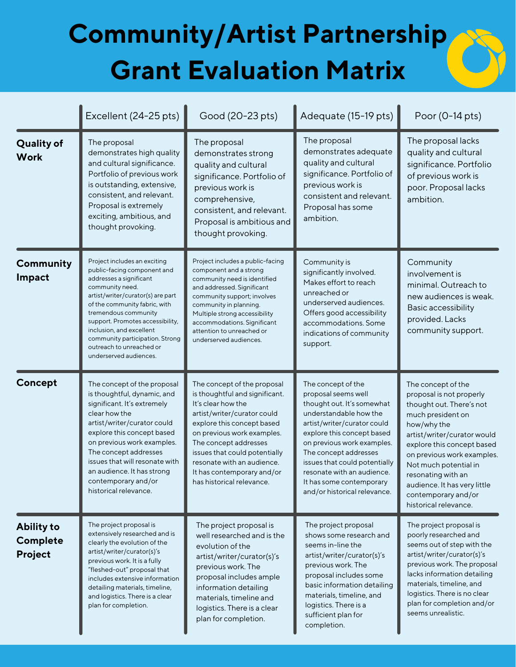## **Community/Artist Partnership Grant Evaluation Matrix**

|                                          | Excellent (24-25 pts)                                                                                                                                                                                                                                                                                                                                            | Good (20-23 pts)                                                                                                                                                                                                                                                                                                                  | Adequate (15-19 pts)                                                                                                                                                                                                                                                                                                                             | Poor (0-14 pts)                                                                                                                                                                                                                                                                                                                          |
|------------------------------------------|------------------------------------------------------------------------------------------------------------------------------------------------------------------------------------------------------------------------------------------------------------------------------------------------------------------------------------------------------------------|-----------------------------------------------------------------------------------------------------------------------------------------------------------------------------------------------------------------------------------------------------------------------------------------------------------------------------------|--------------------------------------------------------------------------------------------------------------------------------------------------------------------------------------------------------------------------------------------------------------------------------------------------------------------------------------------------|------------------------------------------------------------------------------------------------------------------------------------------------------------------------------------------------------------------------------------------------------------------------------------------------------------------------------------------|
| <b>Quality of</b><br><b>Work</b>         | The proposal<br>demonstrates high quality<br>and cultural significance.<br>Portfolio of previous work<br>is outstanding, extensive,<br>consistent, and relevant.<br>Proposal is extremely<br>exciting, ambitious, and<br>thought provoking.                                                                                                                      | The proposal<br>demonstrates strong<br>quality and cultural<br>significance. Portfolio of<br>previous work is<br>comprehensive,<br>consistent, and relevant.<br>Proposal is ambitious and<br>thought provoking.                                                                                                                   | The proposal<br>demonstrates adequate<br>quality and cultural<br>significance. Portfolio of<br>previous work is<br>consistent and relevant.<br>Proposal has some<br>ambition.                                                                                                                                                                    | The proposal lacks<br>quality and cultural<br>significance. Portfolio<br>of previous work is<br>poor. Proposal lacks<br>ambition.                                                                                                                                                                                                        |
| Community<br>Impact                      | Project includes an exciting<br>public-facing component and<br>addresses a significant<br>community need.<br>artist/writer/curator(s) are part<br>of the community fabric, with<br>tremendous community<br>support. Promotes accessibility,<br>inclusion, and excellent<br>community participation. Strong<br>outreach to unreached or<br>underserved audiences. | Project includes a public-facing<br>component and a strong<br>community need is identified<br>and addressed. Significant<br>community support; involves<br>community in planning.<br>Multiple strong accessibility<br>accommodations. Significant<br>attention to unreached or<br>underserved audiences.                          | Community is<br>significantly involved.<br>Makes effort to reach<br>unreached or<br>underserved audiences.<br>Offers good accessibility<br>accommodations. Some<br>indications of community<br>support.                                                                                                                                          | Community<br>involvement is<br>minimal. Outreach to<br>new audiences is weak.<br>Basic accessibility<br>provided. Lacks<br>community support.                                                                                                                                                                                            |
| Concept                                  | The concept of the proposal<br>is thoughtful, dynamic, and<br>significant. It's extremely<br>clear how the<br>artist/writer/curator could<br>explore this concept based<br>on previous work examples.<br>The concept addresses<br>issues that will resonate with<br>an audience. It has strong<br>contemporary and/or<br>historical relevance.                   | The concept of the proposal<br>is thoughtful and significant.<br>It's clear how the<br>artist/writer/curator could<br>explore this concept based<br>on previous work examples.<br>The concept addresses<br>issues that could potentially<br>resonate with an audience.<br>It has contemporary and/or<br>has historical relevance. | The concept of the<br>proposal seems well<br>thought out. It's somewhat<br>understandable how the<br>artist/writer/curator could<br>explore this concept based<br>on previous work examples.<br>The concept addresses<br>issues that could potentially<br>resonate with an audience.<br>It has some contemporary<br>and/or historical relevance. | The concept of the<br>proposal is not properly<br>thought out. There's not<br>much president on<br>how/why the<br>artist/writer/curator would<br>explore this concept based<br>on previous work examples.<br>Not much potential in<br>resonating with an<br>audience. It has very little<br>contemporary and/or<br>historical relevance. |
| <b>Ability to</b><br>Complete<br>Project | The project proposal is<br>extensively researched and is<br>clearly the evolution of the<br>artist/writer/curator(s)'s<br>previous work. It is a fully<br>"fleshed-out" proposal that<br>includes extensive information<br>detailing materials, timeline,<br>and logistics. There is a clear<br>plan for completion.                                             | The project proposal is<br>well researched and is the<br>evolution of the<br>artist/writer/curator(s)'s<br>previous work. The<br>proposal includes ample<br>information detailing<br>materials, timeline and<br>logistics. There is a clear<br>plan for completion.                                                               | The project proposal<br>shows some research and<br>seems in-line the<br>artist/writer/curator(s)'s<br>previous work. The<br>proposal includes some<br>basic information detailing<br>materials, timeline, and<br>logistics. There is a<br>sufficient plan for<br>completion.                                                                     | The project proposal is<br>poorly researched and<br>seems out of step with the<br>artist/writer/curator(s)'s<br>previous work. The proposal<br>lacks information detailing<br>materials, timeline, and<br>logistics. There is no clear<br>plan for completion and/or<br>seems unrealistic.                                               |